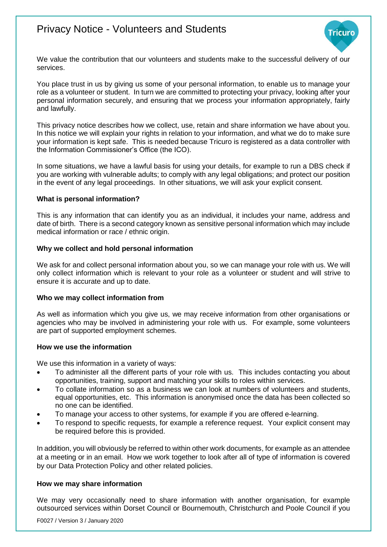# Privacy Notice - Volunteers and Students



We value the contribution that our volunteers and students make to the successful delivery of our services.

You place trust in us by giving us some of your personal information, to enable us to manage your role as a volunteer or student. In turn we are committed to protecting your privacy, looking after your personal information securely, and ensuring that we process your information appropriately, fairly and lawfully.

This privacy notice describes how we collect, use, retain and share information we have about you. In this notice we will explain your rights in relation to your information, and what we do to make sure your information is kept safe. This is needed because Tricuro is registered as a data controller with the Information Commissioner's Office (the ICO).

In some situations, we have a lawful basis for using your details, for example to run a DBS check if you are working with vulnerable adults; to comply with any legal obligations; and protect our position in the event of any legal proceedings. In other situations, we will ask your explicit consent.

### **What is personal information?**

This is any information that can identify you as an individual, it includes your name, address and date of birth. There is a second category known as sensitive personal information which may include medical information or race / ethnic origin.

### **Why we collect and hold personal information**

We ask for and collect personal information about you, so we can manage your role with us. We will only collect information which is relevant to your role as a volunteer or student and will strive to ensure it is accurate and up to date.

### **Who we may collect information from**

As well as information which you give us, we may receive information from other organisations or agencies who may be involved in administering your role with us. For example, some volunteers are part of supported employment schemes.

### **How we use the information**

We use this information in a variety of ways:

- To administer all the different parts of your role with us. This includes contacting you about opportunities, training, support and matching your skills to roles within services.
- To collate information so as a business we can look at numbers of volunteers and students, equal opportunities, etc. This information is anonymised once the data has been collected so no one can be identified.
- To manage your access to other systems, for example if you are offered e-learning.
- To respond to specific requests, for example a reference request. Your explicit consent may be required before this is provided.

In addition, you will obviously be referred to within other work documents, for example as an attendee at a meeting or in an email. How we work together to look after all of type of information is covered by our Data Protection Policy and other related policies.

## **How we may share information**

We may very occasionally need to share information with another organisation, for example outsourced services within Dorset Council or Bournemouth, Christchurch and Poole Council if you